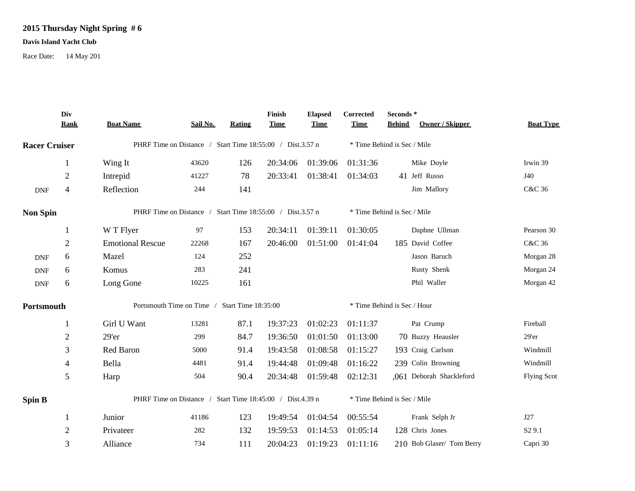## **2015 Thursday Night Spring # 6**

## **Davis Island Yacht Club**

Race Date: 14 May 201

|                      | Div<br><b>Rank</b>       | <b>Boat Name</b>                                          | Sail No. | Rating | Finish<br><b>Time</b> | <b>Elapsed</b><br><b>Time</b> | Corrected<br><b>Time</b>    | Seconds*<br>Owner / Skipper<br><b>Behind</b> | <b>Boat Type</b>   |  |
|----------------------|--------------------------|-----------------------------------------------------------|----------|--------|-----------------------|-------------------------------|-----------------------------|----------------------------------------------|--------------------|--|
| <b>Racer Cruiser</b> |                          | PHRF Time on Distance / Start Time 18:55:00 / Dist.3.57 n |          |        |                       |                               | * Time Behind is Sec / Mile |                                              |                    |  |
|                      | 1                        | Wing It                                                   | 43620    | 126    | 20:34:06              | 01:39:06                      | 01:31:36                    | Mike Doyle                                   | Irwin 39           |  |
|                      | $\overline{2}$           | Intrepid                                                  | 41227    | 78     | 20:33:41              | 01:38:41                      | 01:34:03                    | 41 Jeff Russo                                | J40                |  |
| <b>DNF</b>           | $\overline{\mathcal{A}}$ | Reflection                                                | 244      | 141    |                       |                               |                             | Jim Mallory                                  | C&C 36             |  |
| <b>Non Spin</b>      |                          | PHRF Time on Distance / Start Time 18:55:00 / Dist.3.57 n |          |        |                       |                               | * Time Behind is Sec / Mile |                                              |                    |  |
|                      | 1                        | W T Flyer                                                 | 97       | 153    | 20:34:11              | 01:39:11                      | 01:30:05                    | Daphne Ullman                                | Pearson 30         |  |
|                      | $\mathbf{2}$             | <b>Emotional Rescue</b>                                   | 22268    | 167    | 20:46:00              | 01:51:00                      | 01:41:04                    | 185 David Coffee                             | C&C 36             |  |
| <b>DNF</b>           | 6                        | Mazel                                                     | 124      | 252    |                       |                               |                             | Jason Baruch                                 | Morgan 28          |  |
| <b>DNF</b>           | 6                        | Komus                                                     | 283      | 241    |                       |                               |                             | Rusty Shenk                                  | Morgan 24          |  |
| <b>DNF</b>           | 6                        | Long Gone                                                 | 10225    | 161    |                       |                               |                             | Phil Waller                                  | Morgan 42          |  |
| Portsmouth           |                          | Portsmouth Time on Time / Start Time 18:35:00             |          |        |                       |                               | * Time Behind is Sec / Hour |                                              |                    |  |
|                      | 1                        | Girl U Want                                               | 13281    | 87.1   | 19:37:23              | 01:02:23                      | 01:11:37                    | Pat Crump                                    | Fireball           |  |
|                      | $\overline{2}$           | 29'er                                                     | 299      | 84.7   | 19:36:50              | 01:01:50                      | 01:13:00                    | 70 Buzzy Heausler                            | 29'er              |  |
|                      | 3                        | Red Baron                                                 | 5000     | 91.4   | 19:43:58              | 01:08:58                      | 01:15:27                    | 193 Craig Carlson                            | Windmill           |  |
|                      | 4                        | Bella                                                     | 4481     | 91.4   | 19:44:48              | 01:09:48                      | 01:16:22                    | 239 Colin Browning                           | Windmill           |  |
|                      | 5                        | Harp                                                      | 504      | 90.4   | 20:34:48              | 01:59:48                      | 02:12:31                    | ,061 Deborah Shackleford                     | <b>Flying Scot</b> |  |
| <b>Spin B</b>        |                          | PHRF Time on Distance / Start Time 18:45:00 / Dist.4.39 n |          |        |                       |                               | * Time Behind is Sec / Mile |                                              |                    |  |
|                      | 1                        | Junior                                                    | 41186    | 123    | 19:49:54              | 01:04:54                      | 00:55:54                    | Frank Selph Jr                               | J27                |  |
|                      | $\overline{2}$           | Privateer                                                 | 282      | 132    | 19:59:53              | 01:14:53                      | 01:05:14                    | 128 Chris Jones                              | S <sub>2</sub> 9.1 |  |
|                      | 3                        | Alliance                                                  | 734      | 111    | 20:04:23              | 01:19:23                      | 01:11:16                    | 210 Bob Glaser/ Tom Berry                    | Capri 30           |  |